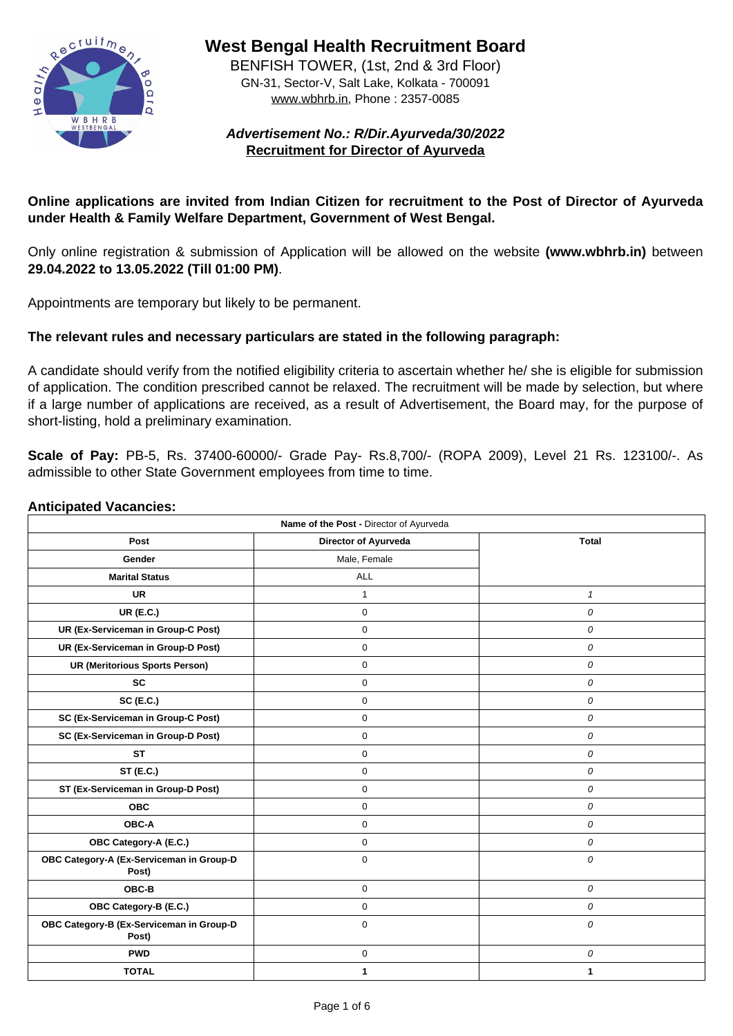

**West Bengal Health Recruitment Board**

BENFISH TOWER, (1st, 2nd & 3rd Floor) GN-31, Sector-V, Salt Lake, Kolkata - 700091 www.wbhrb.in, Phone : 2357-0085

**Advertisement No.: R/Dir.Ayurveda/30/2022 Recruitment for Director of Ayurveda**

# **Online applications are invited from Indian Citizen for recruitment to the Post of Director of Ayurveda under Health & Family Welfare Department, Government of West Bengal.**

Only online registration & submission of Application will be allowed on the website **(www.wbhrb.in)** between **29.04.2022 to 13.05.2022 (Till 01:00 PM)**.

Appointments are temporary but likely to be permanent.

## **The relevant rules and necessary particulars are stated in the following paragraph:**

A candidate should verify from the notified eligibility criteria to ascertain whether he/ she is eligible for submission of application. The condition prescribed cannot be relaxed. The recruitment will be made by selection, but where if a large number of applications are received, as a result of Advertisement, the Board may, for the purpose of short-listing, hold a preliminary examination.

**Scale of Pay:** PB-5, Rs. 37400-60000/- Grade Pay- Rs.8,700/- (ROPA 2009), Level 21 Rs. 123100/-. As admissible to other State Government employees from time to time.

#### **Anticipated Vacancies:**

| Name of the Post - Director of Ayurveda           |                             |                  |  |  |
|---------------------------------------------------|-----------------------------|------------------|--|--|
| <b>Post</b>                                       | <b>Director of Ayurveda</b> | <b>Total</b>     |  |  |
| <b>Gender</b>                                     | Male, Female                |                  |  |  |
| <b>Marital Status</b>                             | <b>ALL</b>                  |                  |  |  |
| <b>UR</b>                                         |                             |                  |  |  |
| <b>UR (E.C.)</b>                                  | $\overline{0}$              | $\overline{O}$   |  |  |
| <b>UR (Ex-Serviceman in Group-C Post)</b>         | 0                           | 0                |  |  |
| <b>UR (Ex-Serviceman in Group-D Post)</b>         | $\overline{0}$              | $\overline{O}$   |  |  |
| <b>UR (Meritorious Sports Person)</b>             | $\overline{0}$              | $\boldsymbol{O}$ |  |  |
| <b>SC</b>                                         | $\overline{0}$              | $\boldsymbol{O}$ |  |  |
| <b>SC (E.C.)</b>                                  | $\Omega$                    | $\overline{O}$   |  |  |
| <b>SC (Ex-Serviceman in Group-C Post)</b>         | $\overline{0}$              | $\overline{O}$   |  |  |
| <b>SC (Ex-Serviceman in Group-D Post)</b>         | $\overline{0}$              | $\overline{O}$   |  |  |
| <b>ST</b>                                         | $\overline{0}$              | $\boldsymbol{O}$ |  |  |
| <b>ST (E.C.)</b>                                  | $\overline{0}$              | $\boldsymbol{O}$ |  |  |
| <b>ST (Ex-Serviceman in Group-D Post)</b>         | $\overline{0}$              | $\overline{O}$   |  |  |
| <b>OBC</b>                                        | $\overline{0}$              | $\overline{O}$   |  |  |
| <b>OBC-A</b>                                      | $\overline{0}$              | $\overline{O}$   |  |  |
| <b>OBC Category-A (E.C.)</b>                      | $\overline{0}$              | $\boldsymbol{O}$ |  |  |
| OBC Category-A (Ex-Serviceman in Group-D<br>Post) | $\overline{0}$              | $\boldsymbol{O}$ |  |  |
| <b>OBC-B</b>                                      | $\overline{0}$              | $\overline{O}$   |  |  |
| <b>OBC Category-B (E.C.)</b>                      | 0                           | $\bm{O}$         |  |  |
| OBC Category-B (Ex-Serviceman in Group-D<br>Post) | $\overline{0}$              | $\overline{O}$   |  |  |
| <b>PWD</b>                                        | $\overline{0}$              | $\overline{O}$   |  |  |
| <b>TOTAL</b>                                      |                             |                  |  |  |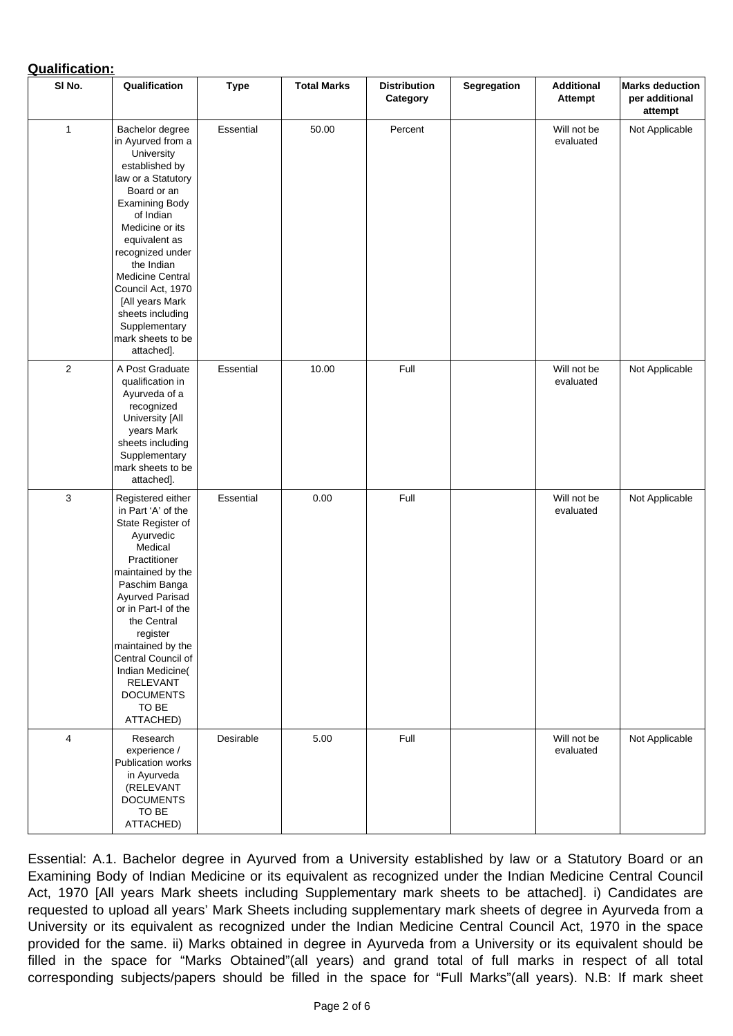# **Qualification:**

| SI No.         | Qualification                                                                                                                                                                                                                                                                                                                                                                  | <b>Type</b>      | <b>Total Marks</b> | <b>Distribution</b><br>Category | <b>Segregation</b> | <b>Additional</b><br><b>Attempt</b> | <b>Marks deduction</b><br>per additional<br>attempt |
|----------------|--------------------------------------------------------------------------------------------------------------------------------------------------------------------------------------------------------------------------------------------------------------------------------------------------------------------------------------------------------------------------------|------------------|--------------------|---------------------------------|--------------------|-------------------------------------|-----------------------------------------------------|
| $\mathbf 1$    | <b>Bachelor degree</b><br>in Ayurved from a<br><b>University</b><br>established by<br>law or a Statutory<br>Board or an<br><b>Examining Body</b><br>of Indian<br>Medicine or its<br>equivalent as<br>recognized under<br>the Indian<br><b>Medicine Central</b><br>Council Act, 1970<br>[All years Mark<br>sheets including<br>Supplementary<br>mark sheets to be<br>attached]. | <b>Essential</b> | 50.00              | Percent                         |                    | Will not be<br>evaluated            | Not Applicable                                      |
| $\overline{2}$ | A Post Graduate<br>qualification in<br>Ayurveda of a<br>recognized<br><b>University [All</b><br>years Mark<br>sheets including<br>Supplementary<br>mark sheets to be<br>attached].                                                                                                                                                                                             | <b>Essential</b> | 10.00              | Full                            |                    | Will not be<br>evaluated            | Not Applicable                                      |
| 3              | Registered either<br>in Part 'A' of the<br>State Register of<br>Ayurvedic<br><b>Medical</b><br>Practitioner<br>maintained by the<br>Paschim Banga<br><b>Ayurved Parisad</b><br>or in Part-I of the<br>the Central<br>register<br>maintained by the<br><b>Central Council of</b><br>Indian Medicine(<br><b>RELEVANT</b><br><b>DOCUMENTS</b><br>TO BE<br>ATTACHED)               | <b>Essential</b> | 0.00               | Full                            |                    | Will not be<br>evaluated            | Not Applicable                                      |
| $\overline{4}$ | Research<br>experience /<br><b>Publication works</b><br>in Ayurveda<br>(RELEVANT<br><b>DOCUMENTS</b><br>TO BE<br>ATTACHED)                                                                                                                                                                                                                                                     | Desirable        | 5.00               | Full                            |                    | Will not be<br>evaluated            | Not Applicable                                      |

Essential: A.1. Bachelor degree in Ayurved from a University established by law or a Statutory Board or an Examining Body of Indian Medicine or its equivalent as recognized under the Indian Medicine Central Council Act, 1970 [All years Mark sheets including Supplementary mark sheets to be attached]. i) Candidates are requested to upload all years' Mark Sheets including supplementary mark sheets of degree in Ayurveda from a University or its equivalent as recognized under the Indian Medicine Central Council Act, 1970 in the space provided for the same. ii) Marks obtained in degree in Ayurveda from a University or its equivalent should be filled in the space for "Marks Obtained"(all years) and grand total of full marks in respect of all total corresponding subjects/papers should be filled in the space for "Full Marks"(all years). N.B: If mark sheet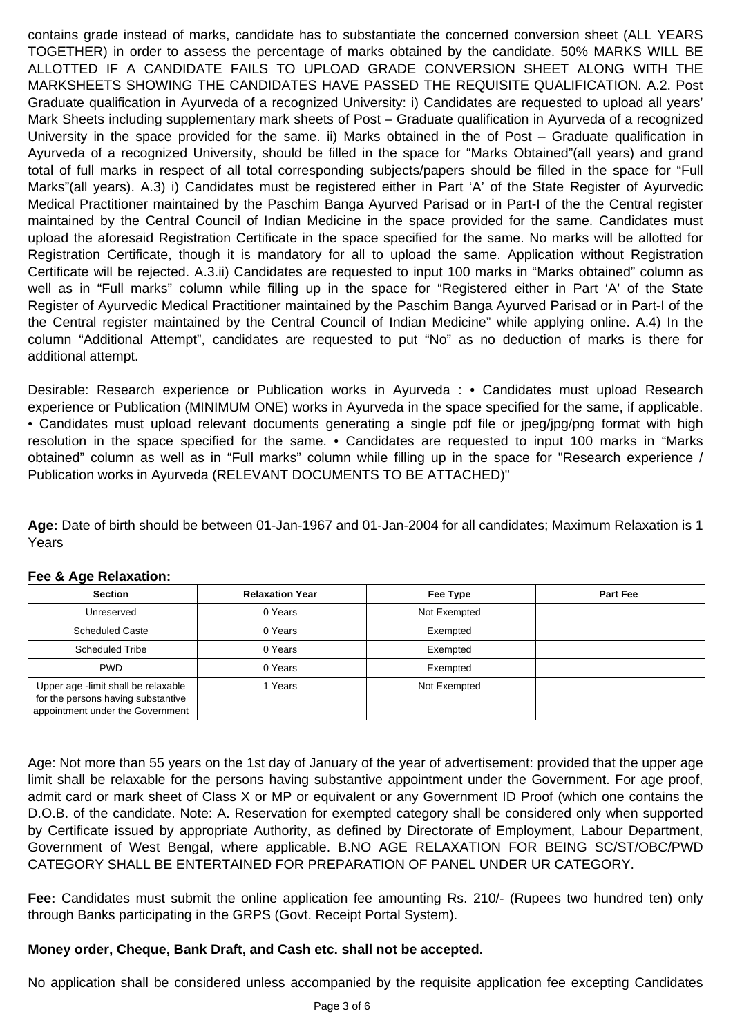contains grade instead of marks, candidate has to substantiate the concerned conversion sheet (ALL YEARS TOGETHER) in order to assess the percentage of marks obtained by the candidate. 50% MARKS WILL BE ALLOTTED IF A CANDIDATE FAILS TO UPLOAD GRADE CONVERSION SHEET ALONG WITH THE MARKSHEETS SHOWING THE CANDIDATES HAVE PASSED THE REQUISITE QUALIFICATION. A.2. Post Graduate qualification in Ayurveda of a recognized University: i) Candidates are requested to upload all years' Mark Sheets including supplementary mark sheets of Post – Graduate qualification in Ayurveda of a recognized University in the space provided for the same. ii) Marks obtained in the of Post – Graduate qualification in Ayurveda of a recognized University, should be filled in the space for "Marks Obtained"(all years) and grand total of full marks in respect of all total corresponding subjects/papers should be filled in the space for "Full Marks"(all years). A.3) i) Candidates must be registered either in Part 'A' of the State Register of Ayurvedic Medical Practitioner maintained by the Paschim Banga Ayurved Parisad or in Part-I of the the Central register maintained by the Central Council of Indian Medicine in the space provided for the same. Candidates must upload the aforesaid Registration Certificate in the space specified for the same. No marks will be allotted for Registration Certificate, though it is mandatory for all to upload the same. Application without Registration Certificate will be rejected. A.3.ii) Candidates are requested to input 100 marks in "Marks obtained" column as well as in "Full marks" column while filling up in the space for "Registered either in Part 'A' of the State Register of Ayurvedic Medical Practitioner maintained by the Paschim Banga Ayurved Parisad or in Part-I of the the Central register maintained by the Central Council of Indian Medicine" while applying online. A.4) In the column "Additional Attempt", candidates are requested to put "No" as no deduction of marks is there for additional attempt.

Desirable: Research experience or Publication works in Ayurveda : • Candidates must upload Research experience or Publication (MINIMUM ONE) works in Ayurveda in the space specified for the same, if applicable. • Candidates must upload relevant documents generating a single pdf file or jpeg/jpg/png format with high resolution in the space specified for the same. • Candidates are requested to input 100 marks in "Marks obtained" column as well as in "Full marks" column while filling up in the space for "Research experience / Publication works in Ayurveda (RELEVANT DOCUMENTS TO BE ATTACHED)"

**Age:** Date of birth should be between 01-Jan-1967 and 01-Jan-2004 for all candidates; Maximum Relaxation is 1 Years

#### **Fee & Age Relaxation:**

| <b>Section</b>                                                                                                | <b>Relaxation Year</b> | <b>Fee Type</b> | <b>Part Fee</b> |
|---------------------------------------------------------------------------------------------------------------|------------------------|-----------------|-----------------|
| <b>Unreserved</b>                                                                                             | 0 Years                | Not Exempted    |                 |
| <b>Scheduled Caste</b>                                                                                        | 0 Years                | Exempted        |                 |
| <b>Scheduled Tribe</b>                                                                                        | 0 Years                | Exempted        |                 |
| <b>PWD</b>                                                                                                    | 0 Years                | Exempted        |                 |
| Upper age -limit shall be relaxable<br>for the persons having substantive<br>appointment under the Government | Years                  | Not Exempted    |                 |

Age: Not more than 55 years on the 1st day of January of the year of advertisement: provided that the upper age limit shall be relaxable for the persons having substantive appointment under the Government. For age proof, admit card or mark sheet of Class X or MP or equivalent or any Government ID Proof (which one contains the D.O.B. of the candidate. Note: A. Reservation for exempted category shall be considered only when supported by Certificate issued by appropriate Authority, as defined by Directorate of Employment, Labour Department, Government of West Bengal, where applicable. B.NO AGE RELAXATION FOR BEING SC/ST/OBC/PWD CATEGORY SHALL BE ENTERTAINED FOR PREPARATION OF PANEL UNDER UR CATEGORY.

**Fee:** Candidates must submit the online application fee amounting Rs. 210/- (Rupees two hundred ten) only through Banks participating in the GRPS (Govt. Receipt Portal System).

#### **Money order, Cheque, Bank Draft, and Cash etc. shall not be accepted.**

No application shall be considered unless accompanied by the requisite application fee excepting Candidates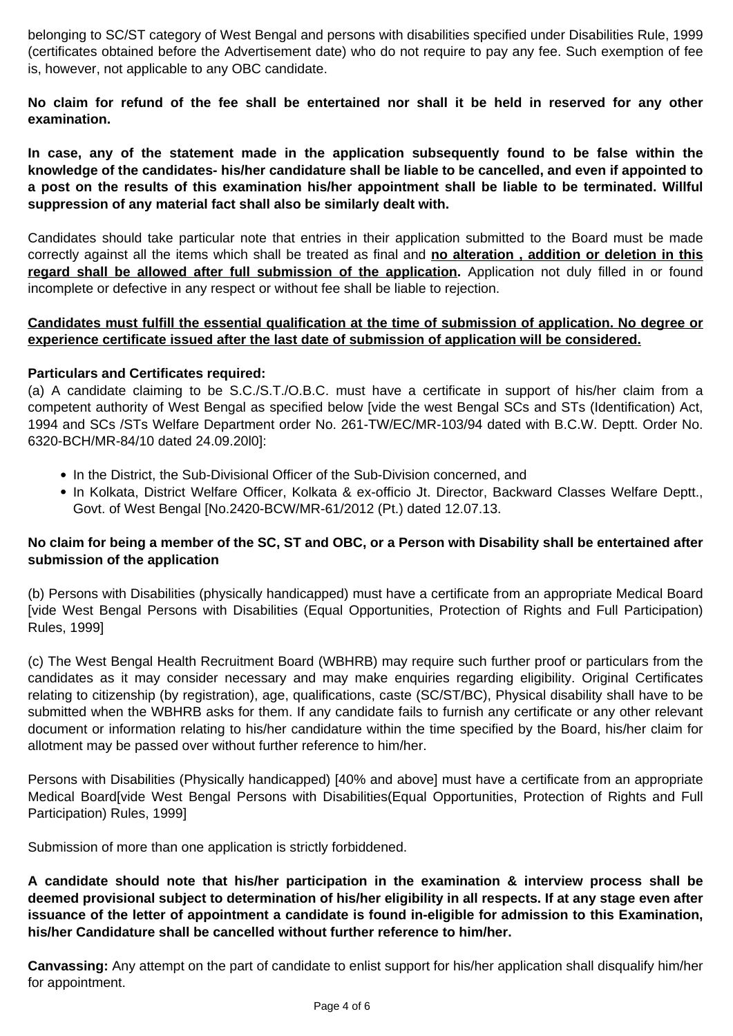belonging to SC/ST category of West Bengal and persons with disabilities specified under Disabilities Rule, 1999 (certificates obtained before the Advertisement date) who do not require to pay any fee. Such exemption of fee is, however, not applicable to any OBC candidate.

**No claim for refund of the fee shall be entertained nor shall it be held in reserved for any other examination.**

**In case, any of the statement made in the application subsequently found to be false within the knowledge of the candidates- his/her candidature shall be liable to be cancelled, and even if appointed to a post on the results of this examination his/her appointment shall be liable to be terminated. Willful suppression of any material fact shall also be similarly dealt with.**

Candidates should take particular note that entries in their application submitted to the Board must be made correctly against all the items which shall be treated as final and **no alteration , addition or deletion in this** regard shall be allowed after full submission of the application. Application not duly filled in or found incomplete or defective in any respect or without fee shall be liable to rejection.

- In the District, the Sub-Divisional Officer of the Sub-Division concerned, and
- In Kolkata, District Welfare Officer, Kolkata & ex-officio Jt. Director, Backward Classes Welfare Deptt., Govt. of West Bengal [No.2420-BCW/MR-61/2012 (Pt.) dated 12.07.13.

**Candidates must fulfill the essential qualification at the time of submission of application. No degree or experience certificate issued after the last date of submission of application will be considered.**

#### **Particulars and Certificates required:**

(a) A candidate claiming to be S.C./S.T./O.B.C. must have a certificate in support of his/her claim from a competent authority of West Bengal as specified below [vide the west Bengal SCs and STs (Identification) Act, 1994 and SCs /STs Welfare Department order No. 261-TW/EC/MR-103/94 dated with B.C.W. Deptt. Order No. 6320-BCH/MR-84/10 dated 24.09.20l0]:

### **No claim for being a member of the SC, ST and OBC, or a Person with Disability shall be entertained after**

#### **submission of the application**

(b) Persons with Disabilities (physically handicapped) must have a certificate from an appropriate Medical Board [vide West Bengal Persons with Disabilities (Equal Opportunities, Protection of Rights and Full Participation) Rules, 1999]

(c) The West Bengal Health Recruitment Board (WBHRB) may require such further proof or particulars from the candidates as it may consider necessary and may make enquiries regarding eligibility. Original Certificates relating to citizenship (by registration), age, qualifications, caste (SC/ST/BC), Physical disability shall have to be submitted when the WBHRB asks for them. If any candidate fails to furnish any certificate or any other relevant document or information relating to his/her candidature within the time specified by the Board, his/her claim for allotment may be passed over without further reference to him/her.

Persons with Disabilities (Physically handicapped) [40% and above] must have a certificate from an appropriate Medical Board[vide West Bengal Persons with Disabilities(Equal Opportunities, Protection of Rights and Full Participation) Rules, 1999]

Submission of more than one application is strictly forbiddened.

**A candidate should note that his/her participation in the examination & interview process shall be deemed provisional subject to determination of his/her eligibility in all respects. If at any stage even after issuance of the letter of appointment a candidate is found in-eligible for admission to this Examination, his/her Candidature shall be cancelled without further reference to him/her.**

**Canvassing:** Any attempt on the part of candidate to enlist support for his/her application shall disqualify him/her for appointment.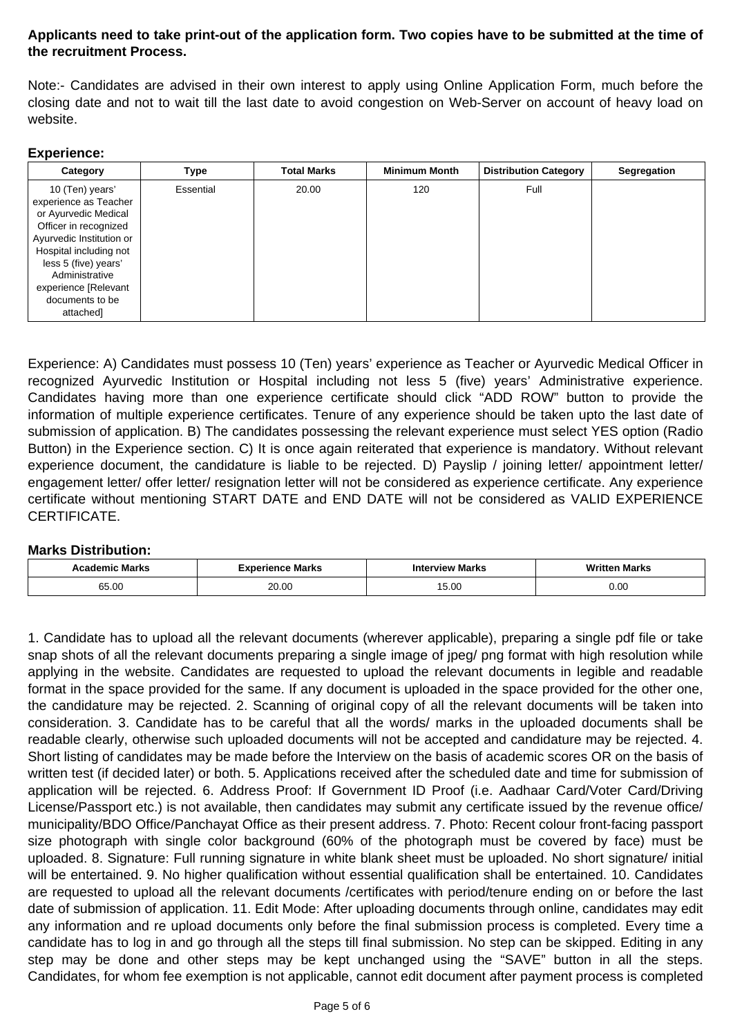# **Applicants need to take print-out of the application form. Two copies have to be submitted at the time of the recruitment Process.**

Note:- Candidates are advised in their own interest to apply using Online Application Form, much before the closing date and not to wait till the last date to avoid congestion on Web-Server on account of heavy load on website.

#### **Experience:**

| Category                                                                                                                                                                                                                                          | <b>Type</b>      | <b>Total Marks</b> | <b>Minimum Month</b> | <b>Distribution Category</b> | <b>Segregation</b> |
|---------------------------------------------------------------------------------------------------------------------------------------------------------------------------------------------------------------------------------------------------|------------------|--------------------|----------------------|------------------------------|--------------------|
| 10 (Ten) years'<br>experience as Teacher<br>or Ayurvedic Medical<br>Officer in recognized<br>Ayurvedic Institution or<br>Hospital including not<br>less 5 (five) years'<br>Administrative<br>experience [Relevant<br>documents to be<br>attached] | <b>Essential</b> | 20.00              | 120                  | Full                         |                    |

Experience: A) Candidates must possess 10 (Ten) years' experience as Teacher or Ayurvedic Medical Officer in recognized Ayurvedic Institution or Hospital including not less 5 (five) years' Administrative experience. Candidates having more than one experience certificate should click "ADD ROW" button to provide the information of multiple experience certificates. Tenure of any experience should be taken upto the last date of submission of application. B) The candidates possessing the relevant experience must select YES option (Radio Button) in the Experience section. C) It is once again reiterated that experience is mandatory. Without relevant experience document, the candidature is liable to be rejected. D) Payslip / joining letter/ appointment letter/ engagement letter/ offer letter/ resignation letter will not be considered as experience certificate. Any experience certificate without mentioning START DATE and END DATE will not be considered as VALID EXPERIENCE CERTIFICATE.

#### **Marks Distribution:**

| <b>Marks</b> | ⊧ Marks<br><b>Tence</b> | <b>TView Marks</b> | Writ<br><b>Marks</b> |
|--------------|-------------------------|--------------------|----------------------|
| 65.00        | ∩∩ ∩∩<br>ZU.UU          | 5.00               | 0.00                 |

1. Candidate has to upload all the relevant documents (wherever applicable), preparing a single pdf file or take snap shots of all the relevant documents preparing a single image of jpeg/ png format with high resolution while applying in the website. Candidates are requested to upload the relevant documents in legible and readable format in the space provided for the same. If any document is uploaded in the space provided for the other one, the candidature may be rejected. 2. Scanning of original copy of all the relevant documents will be taken into consideration. 3. Candidate has to be careful that all the words/ marks in the uploaded documents shall be readable clearly, otherwise such uploaded documents will not be accepted and candidature may be rejected. 4. Short listing of candidates may be made before the Interview on the basis of academic scores OR on the basis of written test (if decided later) or both. 5. Applications received after the scheduled date and time for submission of application will be rejected. 6. Address Proof: If Government ID Proof (i.e. Aadhaar Card/Voter Card/Driving License/Passport etc.) is not available, then candidates may submit any certificate issued by the revenue office/ municipality/BDO Office/Panchayat Office as their present address. 7. Photo: Recent colour front-facing passport size photograph with single color background (60% of the photograph must be covered by face) must be uploaded. 8. Signature: Full running signature in white blank sheet must be uploaded. No short signature/ initial will be entertained. 9. No higher qualification without essential qualification shall be entertained. 10. Candidates are requested to upload all the relevant documents /certificates with period/tenure ending on or before the last date of submission of application. 11. Edit Mode: After uploading documents through online, candidates may edit any information and re upload documents only before the final submission process is completed. Every time a candidate has to log in and go through all the steps till final submission. No step can be skipped. Editing in any step may be done and other steps may be kept unchanged using the "SAVE" button in all the steps. Candidates, for whom fee exemption is not applicable, cannot edit document after payment process is completed